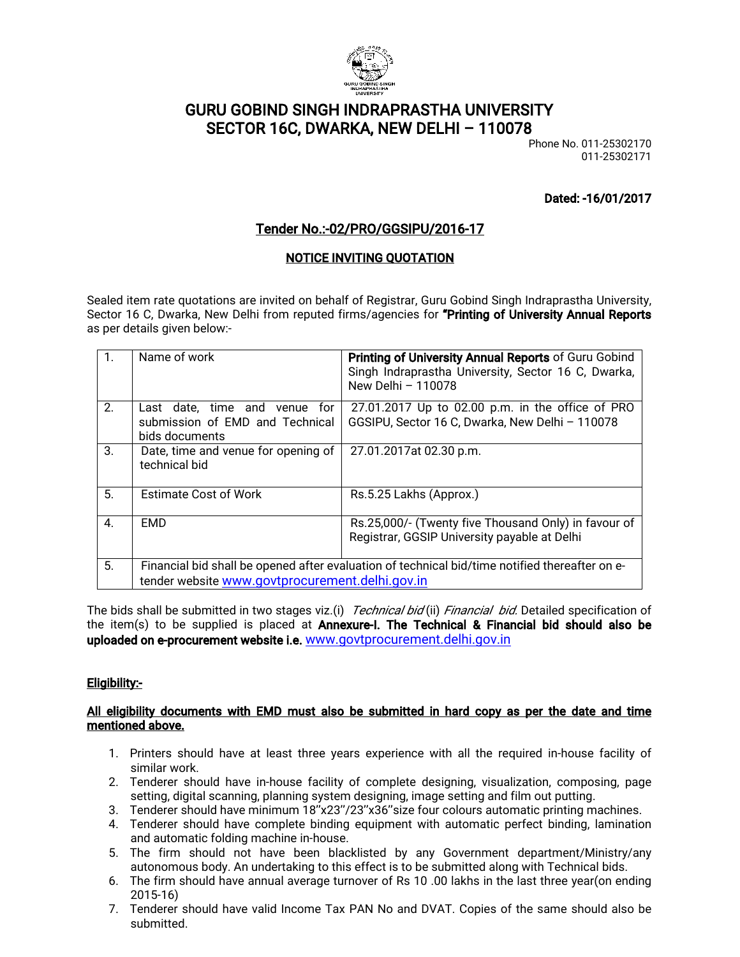

## GURU GOBIND SINGH INDRAPRASTHA UNIVERSITY SECTOR 16C, DWARKA, NEW DELHI - 110078

Phone No. 011-25302170 011-25302171

Dated:-16/01/2017

### Tender No.:-02/PRO/GGSIPU/2016-17

#### **NOTICE INVITING QUOTATION**

Sealed item rate quotations are invited on behalf of Registrar, Guru Gobind Singh Indraprastha University, Sector 16 C, Dwarka, New Delhi from reputed firms/agencies for "Printing of University Annual Reports as per details given below:-

| $\mathbf{1}$ .   | Name of work                                                                                                                                      | Printing of University Annual Reports of Guru Gobind<br>Singh Indraprastha University, Sector 16 C, Dwarka,<br>New Delhi - 110078 |  |
|------------------|---------------------------------------------------------------------------------------------------------------------------------------------------|-----------------------------------------------------------------------------------------------------------------------------------|--|
| 2 <sub>1</sub>   | Last date, time and venue for<br>submission of EMD and Technical<br>bids documents                                                                | 27.01.2017 Up to 02.00 p.m. in the office of PRO<br>GGSIPU, Sector 16 C, Dwarka, New Delhi - 110078                               |  |
| 3.               | Date, time and venue for opening of<br>technical bid                                                                                              | 27.01.2017at 02.30 p.m.                                                                                                           |  |
| 5.               | <b>Estimate Cost of Work</b>                                                                                                                      | Rs.5.25 Lakhs (Approx.)                                                                                                           |  |
| $\overline{4}$ . | <b>EMD</b>                                                                                                                                        | Rs.25,000/- (Twenty five Thousand Only) in favour of<br>Registrar, GGSIP University payable at Delhi                              |  |
| 5.               | Financial bid shall be opened after evaluation of technical bid/time notified thereafter on e-<br>tender website www.govtprocurement.delhi.gov.in |                                                                                                                                   |  |

The bids shall be submitted in two stages viz.(i) Technical bid(ii) Financial bid. Detailed specification of the item(s) to be supplied is placed at Annexure-I. The Technical & Financial bid should also be uploaded on e-procurement website i.e. www.govtprocurement.delhi.gov.in

#### Eligibility:-

#### All eligibility documents with EMD must also be submitted in hard copy as per the date and time mentioned above.

- 1. Printers should have at least three years experience with all the required in-house facility of similar work.
- 2. Tenderer should have in-house facility of complete designing, visualization, composing, page setting, digital scanning, planning system designing, image setting and film out putting.
- 3. Tenderer should have minimum 18"x23"/23"x36" size four colours automatic printing machines.
- 4. Tenderer should have complete binding equipment with automatic perfect binding, lamination and automatic folding machine in-house.
- 5. The firm should not have been blacklisted by any Government department/Ministry/any autonomous body. An undertaking to this effect is to be submitted along with Technical bids.
- 6. The firm should have annual average turnover of Rs 10 .00 lakhs in the last three year(on ending 2015-16)
- 7. Tenderer should have valid Income Tax PAN No and DVAT. Copies of the same should also be submitted.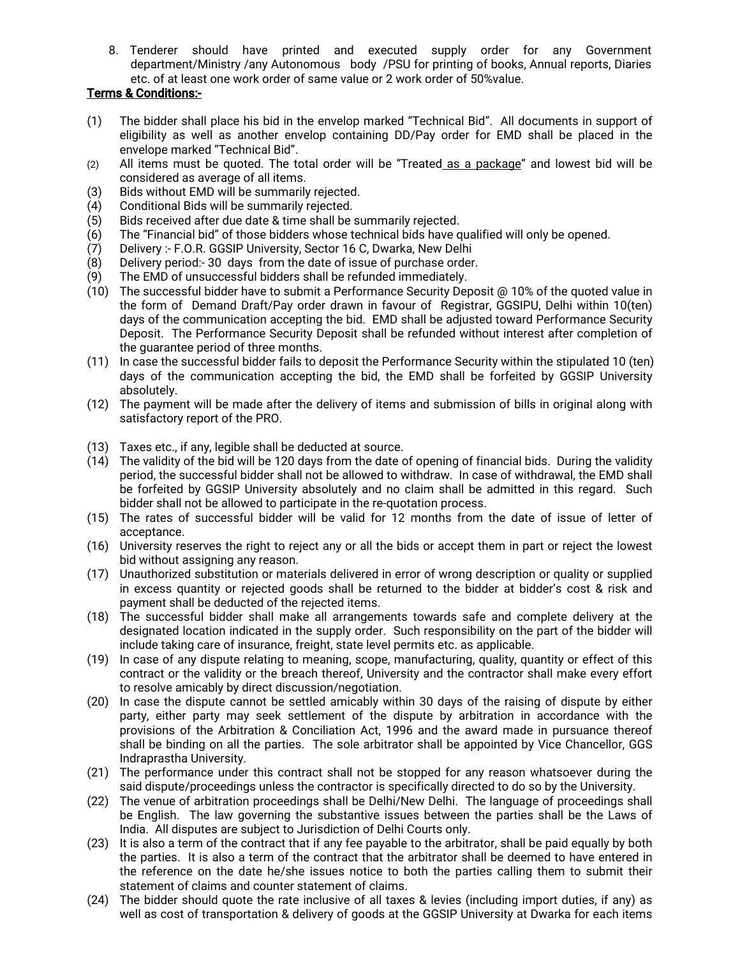8. Tenderer should have printed and executed supply order for any Government department/Ministry /any Autonomous body /PSU for printing of books, Annual reports, Diaries etc. of at least one work order of same value or 2 work order of 50%value.

#### Terms&Conditions:-

- (1) The bidder shall place his bid in the envelop marked "Technical Bid". All documents in support of eligibility as well as another envelop containing DD/Pay order for EMD shall be placed in the envelope marked "Technical Bid".
- (2) All items must be quoted. The total order will be "Treated as a package" and lowest bid will be considered as average of all items.
- (3) Bids without EMD will be summarily rejected.
- $(4)$  Conditional Bids will be summarily rejected.
- (5) Bids received after due date & time shall be summarily rejected.
- $(6)$  The "Financial bid" of those bidders whose technical bids have qualified will only be opened.
- (7) Delivery: F.O.R. GGSIP University, Sector 16 C, Dwarka, New Delhi
- (8) Delivery period:-30 days from the date of issue of purchase order.
- (9) The EMD of unsuccessful bidders shall be refunded immediately.
- (10) The successful bidder have to submit a Performance Security Deposit  $\omega$  10% of the quoted value in the form of Demand Draft/Pay order drawn in favour of Registrar, GGSIPU, Delhi within 10(ten) days of the communication accepting the bid. EMD shall be adjusted toward Performance Security Deposit. The Performance Security Deposit shall be refunded without interest after completion of the quarantee period of three months.
- (11) In case the successful bidder fails to deposit the Performance Security within the stipulated 10 (ten) days of the communication accepting the bid, the EMD shall be forfeited by GGSIP University absolutely.
- (12) The payment will be made after the delivery of items and submission of bills in original along with satisfactory report of the PRO.
- (13) Taxes etc., if any, legible shall be deducted at source.
- $(14)$  The validity of the bid will be 120 days from the date of opening of financial bids. During the validity period, the successful bidder shall not be allowed to withdraw. In case of withdrawal, the EMD shall be forfeited by GGSIP University absolutely and no claim shall be admitted in this regard. Such bidder shall not be allowed to participate in the re-quotation process.
- (15) The rates of successful bidder will be valid for 12 months from the date of issue of letter of acceptance.
- (16) University reserves the right to reject any or all the bids or accept them in part or reject the lowest bid without assigning any reason.
- (17) Unauthorized substitution or materials delivered in error of wrong description or quality or supplied in excess quantity or rejected goods shall be returned to the bidder at bidder's cost & risk and payment shall be deducted of the rejected items.
- (18) The successful bidder shall make all arrangements towards safe and complete delivery at the designated location indicated in the supply order. Such responsibility on the part of the bidder will include taking care of insurance, freight, state level permits etc. as applicable.
- (19) In case of any dispute relating to meaning, scope, manufacturing, quality, quantity or effect of this contract or the validity or the breach thereof. University and the contractor shall make every effort to resolve amicably by direct discussion/negotiation.
- (20) In case the dispute cannot be settled amicably within 30 days of the raising of dispute by either party, either party may seek settlement of the dispute by arbitration in accordance with the provisions of the Arbitration & Conciliation Act, 1996 and the award made in pursuance thereof shall be binding on all the parties. The sole arbitrator shall be appointed by Vice Chancellor, GGS Indraprastha University.
- (21) The performance under this contract shall not be stopped for any reason whatsoever during the said dispute/proceedings unless the contractor is specifically directed to do so by the University.
- (22) The venue of arbitration proceedings shall be Delhi/New Delhi. The language of proceedings shall be English. The law governing the substantive issues between the parties shall be the Laws of India. All disputes are subject to Jurisdiction of Delhi Courts only.
- (23) It is also a term of the contract that if any fee payable to the arbitrator, shall be paid equally by both the parties. It is also a term of the contract that the arbitrator shall be deemed to have entered in the reference on the date he/she issues notice to both the parties calling them to submit their statement of claims and counter statement of claims.
- (24) The bidder should quote the rate inclusive of all taxes & levies (including import duties, if any) as well as cost of transportation & delivery of goods at the GGSIP University at Dwarka for each items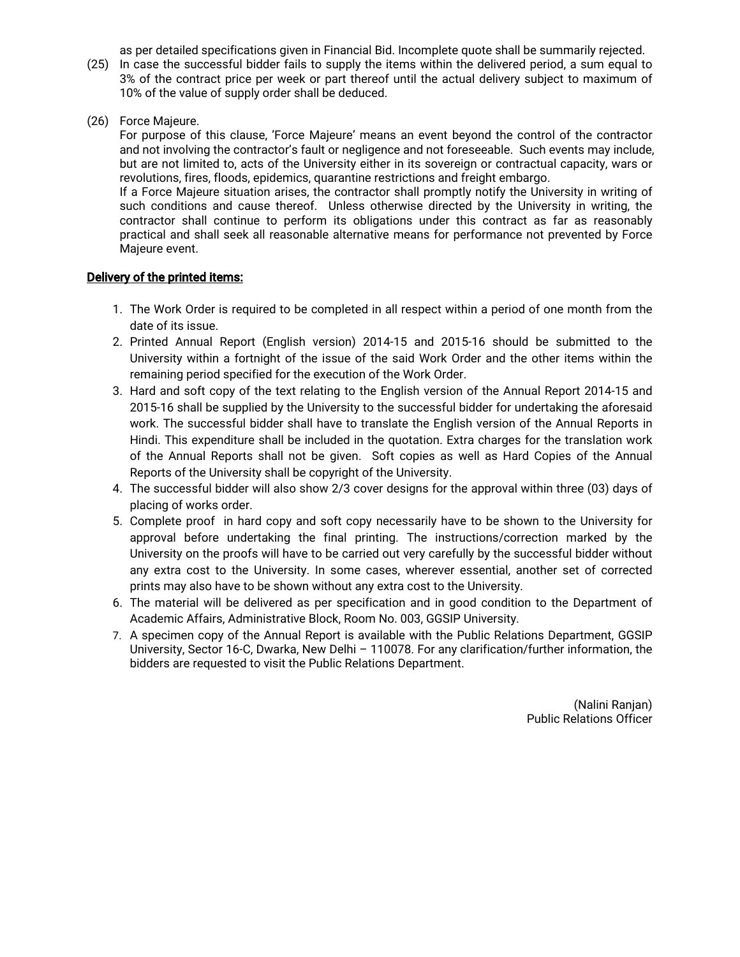as per detailed specifications given in Financial Bid. Incomplete quote shall be summarily rejected.

- (25) In case the successful bidder fails to supply the items within the delivered period, a sum equal to 3% of the contract price per week or part thereof until the actual delivery subject to maximum of 10% of the value of supply order shall be deduced.
- (26) Force Majeure.

For purpose of this clause, 'Force Majeure' means an event beyond the control of the contractor and not involving the contractor's fault or negligence and not foreseeable. Such events may include, but are not limited to, acts of the University either in its sovereign or contractual capacity, wars or revolutions, fires, floods, epidemics, quarantine restrictions and freight embargo.

If a Force Majeure situation arises, the contractor shall promptly notify the University in writing of such conditions and cause thereof. Unless otherwise directed by the University in writing, the contractor shall continue to perform its obligations under this contract as far as reasonably practical and shall seek all reasonable alternative means for performance not prevented by Force Majeure event.

#### Delivery of the printed items:

- 1. The Work Order is required to be completed in all respect within a period of one month from the date of its issue.
- 2. Printed Annual Report (English version) 2014-15 and 2015-16 should be submitted to the University within a fortnight of the issue of the said Work Order and the other items within the remaining period specified for the execution of the Work Order.
- 3. Hard and soft copy of the text relating to the English version of the Annual Report 2014-15 and 2015-16 shall be supplied by the University to the successful bidder for undertaking the aforesaid work. The successful bidder shall have to translate the English version of the Annual Reports in Hindi. This expenditure shall be included in the quotation. Extra charges for the translation work of the Annual Reports shall not be given. Soft copies as well as Hard Copies of the Annual Reports of the University shall be copyright of the University.
- 4. The successful bidder will also show 2/3 cover designs for the approval within three (03) days of placing of works order.
- 5. Complete proof in hard copy and soft copy necessarily have to be shown to the University for approval before undertaking the final printing. The instructions/correction marked by the University on the proofs will have to be carried out very carefully by the successful bidder without any extra cost to the University. In some cases, wherever essential, another set of corrected prints may also have to be shown without any extra cost to the University.
- 6. The material will be delivered as per specification and in good condition to the Department of Academic Affairs, Administrative Block, Room No. 003, GGSIP University.
- 7. A specimen copy of the Annual Report is available with the Public Relations Department, GGSIP University, Sector 16-C, Dwarka, New Delhi - 110078. For any clarification/further information, the bidders are requested to visit the Public Relations Department.

(Nalini Ranjan) Public Relations Officer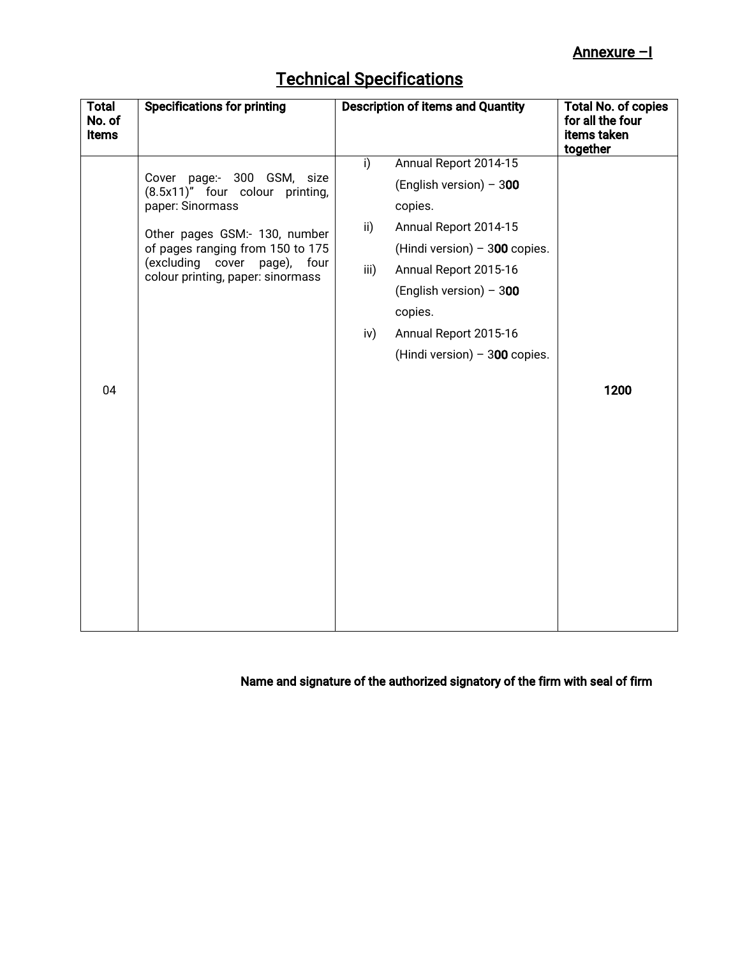| <b>Technical Specifications</b> |  |
|---------------------------------|--|
|                                 |  |

| <b>Total</b><br>No. of<br><b>Items</b> | <b>Specifications for printing</b>                                                                                                                                                                                             | <b>Description of items and Quantity</b>                                                                                                                                                                                                                                                           | <b>Total No. of copies</b><br>for all the four<br>items taken<br>together |
|----------------------------------------|--------------------------------------------------------------------------------------------------------------------------------------------------------------------------------------------------------------------------------|----------------------------------------------------------------------------------------------------------------------------------------------------------------------------------------------------------------------------------------------------------------------------------------------------|---------------------------------------------------------------------------|
| 04                                     | Cover page:- 300 GSM, size<br>(8.5x11)" four colour printing,<br>paper: Sinormass<br>Other pages GSM:- 130, number<br>of pages ranging from 150 to 175<br>(excluding cover page),<br>four<br>colour printing, paper: sinormass | Annual Report 2014-15<br>$\overline{1}$<br>(English version) - 300<br>copies.<br>$\mathsf{ii}$<br>Annual Report 2014-15<br>(Hindi version) $-300$ copies.<br>Annual Report 2015-16<br>iii)<br>(English version) - 300<br>copies.<br>Annual Report 2015-16<br>iv)<br>(Hindi version) $-300$ copies. | 1200                                                                      |
|                                        |                                                                                                                                                                                                                                |                                                                                                                                                                                                                                                                                                    |                                                                           |

# Name and signature of the authorized signatory of the firm with seal of firm